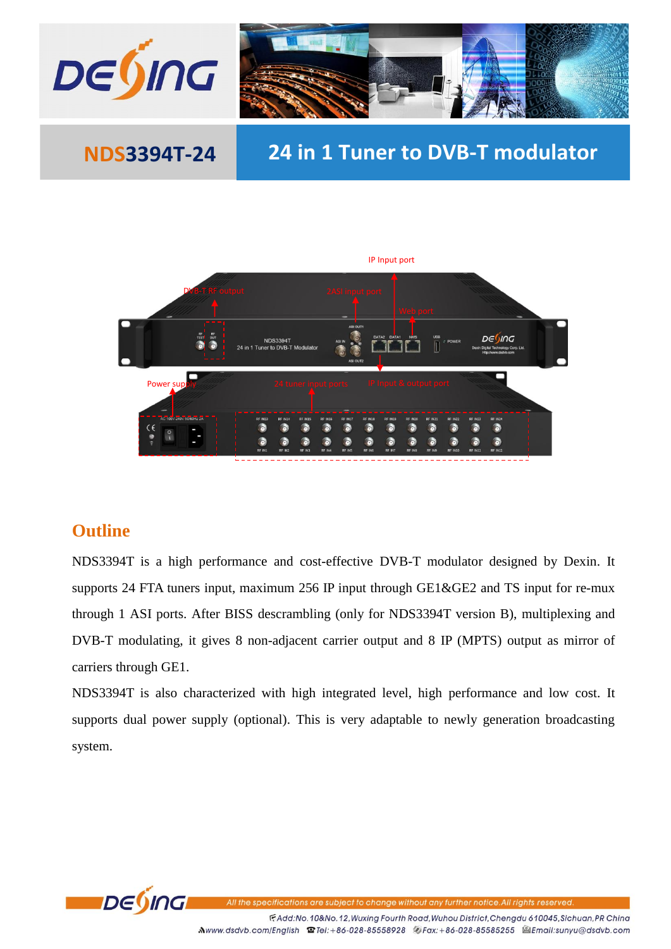

# **NDS3394T-24 24 in 1 Tuner to DVB-T modulator**



### **Outline**

NDS3394T is a high performance and cost-effective DVB-T modulator designed by Dexin. It supports 24 FTA tuners input, maximum 256 IP input through GE1&GE2 and TS input for re-mux through 1 ASI ports. After BISS descrambling (only for NDS3394T version B), multiplexing and DVB-T modulating, it gives 8 non-adjacent carrier output and 8 IP (MPTS) output as mirror of carriers through GE1.

NDS3394T is also characterized with high integrated level, high performance and low cost. It supports dual power supply (optional). This is very adaptable to newly generation broadcasting system.



FAdd:No.10&No.12, Wuxing Fourth Road, Wuhou District, Chengdu 610045, Sichuan, PR China Mwww.dsdvb.com/English <sup>1</sup> Tel:+86-028-85558928 <sup>6</sup>/Fax:+86-028-85585255 <sup>2</sup>Email:sunyu@dsdvb.com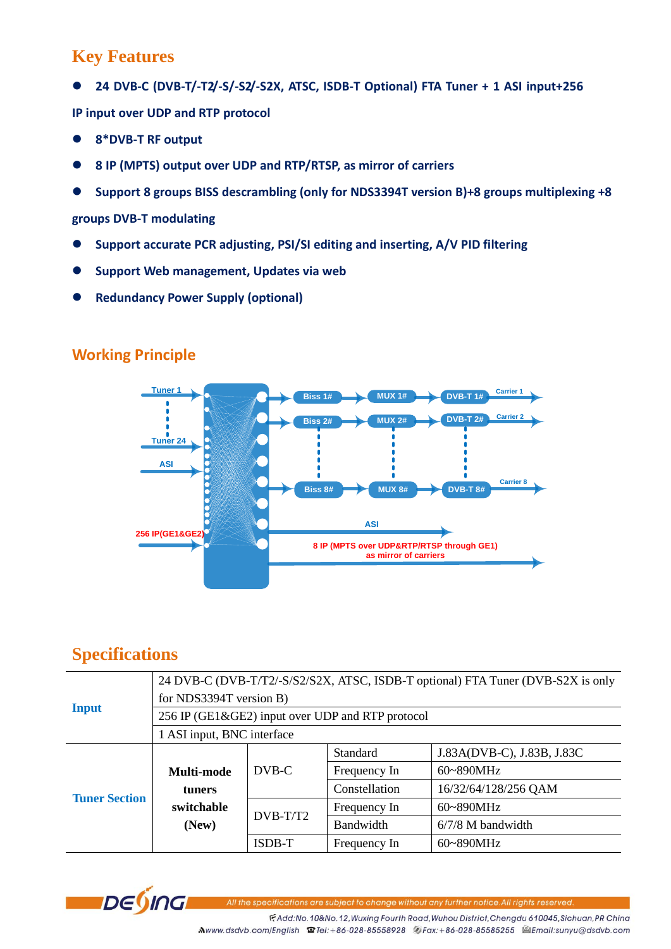## **Key Features**

**24 DVB-C (DVB-T/-T2/-S/-S2/-S2X, ATSC, ISDB-T Optional) FTA Tuner + 1 ASI input+256**

**IP input over UDP and RTP protocol**

- **8\*DVB-T RF output**
- **8 IP (MPTS) output over UDP and RTP/RTSP, as mirror of carriers**
- **Support 8 groups BISS descrambling (only for NDS3394T version B)+8 groups multiplexing +8**

#### **groups DVB-T modulating**

- **Support accurate PCR adjusting, PSI/SI editing and inserting, A/V PID filtering**
- **Support Web management, Updates via web**
- **Redundancy Power Supply (optional)**

#### **Working Principle**



## **Specifications**

| <b>Input</b>         | 24 DVB-C (DVB-T/T2/-S/S2/S2X, ATSC, ISDB-T optional) FTA Tuner (DVB-S2X is only |               |               |                            |  |  |
|----------------------|---------------------------------------------------------------------------------|---------------|---------------|----------------------------|--|--|
|                      | for NDS3394T version B)                                                         |               |               |                            |  |  |
|                      | 256 IP (GE1&GE2) input over UDP and RTP protocol                                |               |               |                            |  |  |
|                      | 1 ASI input, BNC interface                                                      |               |               |                            |  |  |
| <b>Tuner Section</b> |                                                                                 | DVB-C         | Standard      | J.83A(DVB-C), J.83B, J.83C |  |  |
|                      | Multi-mode                                                                      |               | Frequency In  | $60 - 890$ MHz             |  |  |
|                      | tuners                                                                          |               | Constellation | 16/32/64/128/256 QAM       |  |  |
|                      | switchable                                                                      | $DVB-T/T2$    | Frequency In  | $60 - 890$ MHz             |  |  |
|                      | (New)                                                                           |               | Bandwidth     | $6/7/8$ M bandwidth        |  |  |
|                      |                                                                                 | <b>ISDB-T</b> | Frequency In  | 60~890MHz                  |  |  |



the specifications are subject to change without any further notice.All rights reserved

FAdd:No.10&No.12, Wuxing Fourth Road, Wuhou District, Chengdu 610045, Sichuan, PR China Mwww.dsdvb.com/English <sup>1</sup> Tel:+86-028-85558928 <sup>2</sup> Fax:+86-028-85585255 <sup>2</sup> Email:sunyu@dsdvb.com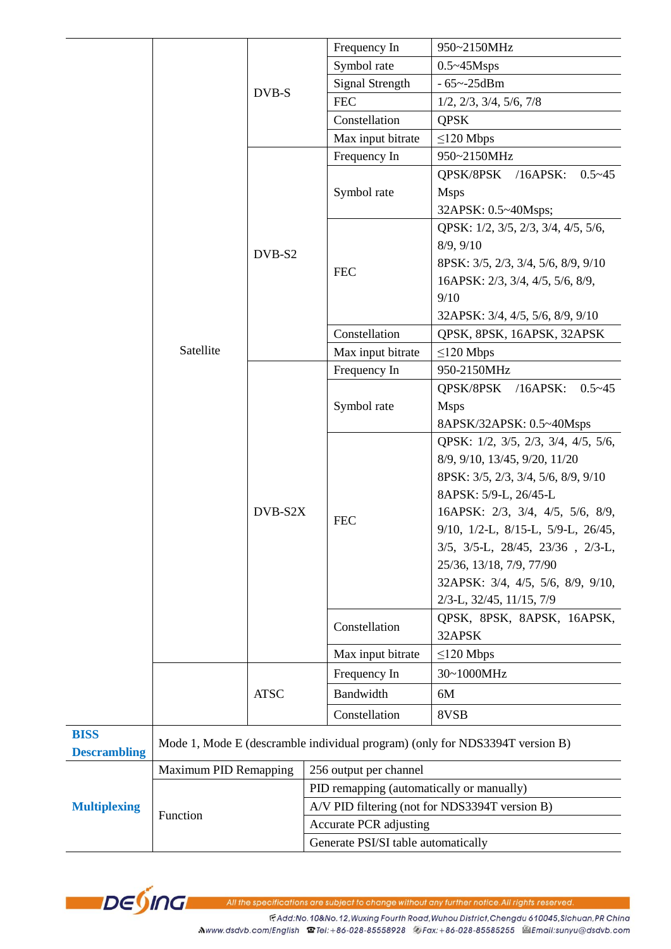|                                    |                              |             |                                                | Frequency In           | 950~2150MHz                                                                  |  |
|------------------------------------|------------------------------|-------------|------------------------------------------------|------------------------|------------------------------------------------------------------------------|--|
|                                    |                              | DVB-S       |                                                | Symbol rate            | $0.5 \sim 45$ Msps                                                           |  |
|                                    |                              |             |                                                | <b>Signal Strength</b> | $-65 - 25$ dBm                                                               |  |
|                                    |                              |             |                                                | <b>FEC</b>             | 1/2, 2/3, 3/4, 5/6, 7/8                                                      |  |
|                                    |                              |             |                                                | Constellation          | <b>QPSK</b>                                                                  |  |
|                                    |                              |             |                                                | Max input bitrate      | $\leq$ 120 Mbps                                                              |  |
|                                    |                              | DVB-S2      |                                                | Frequency In           | 950~2150MHz                                                                  |  |
|                                    |                              |             |                                                | Symbol rate            | QPSK/8PSK /16APSK:<br>$0.5 - 45$                                             |  |
|                                    |                              |             |                                                |                        | <b>Msps</b>                                                                  |  |
|                                    |                              |             |                                                |                        | 32APSK: 0.5~40Msps;                                                          |  |
|                                    |                              |             |                                                |                        | QPSK: 1/2, 3/5, 2/3, 3/4, 4/5, 5/6,                                          |  |
|                                    |                              |             |                                                | 8/9, 9/10              |                                                                              |  |
|                                    |                              |             |                                                | <b>FEC</b>             | 8PSK: 3/5, 2/3, 3/4, 5/6, 8/9, 9/10                                          |  |
|                                    |                              |             |                                                |                        | 16APSK: 2/3, 3/4, 4/5, 5/6, 8/9,                                             |  |
|                                    |                              |             |                                                | 9/10                   |                                                                              |  |
|                                    | Satellite                    |             |                                                |                        | 32APSK: 3/4, 4/5, 5/6, 8/9, 9/10                                             |  |
|                                    |                              |             |                                                | Constellation          | QPSK, 8PSK, 16APSK, 32APSK                                                   |  |
|                                    |                              |             |                                                | Max input bitrate      | $\leq$ 120 Mbps                                                              |  |
|                                    |                              |             |                                                | Frequency In           | 950-2150MHz                                                                  |  |
|                                    |                              |             |                                                | Symbol rate            | QPSK/8PSK /16APSK:<br>$0.5 - 45$                                             |  |
|                                    |                              |             |                                                |                        | <b>Msps</b>                                                                  |  |
|                                    |                              |             |                                                |                        | 8APSK/32APSK: 0.5~40Msps                                                     |  |
|                                    |                              |             |                                                |                        | QPSK: 1/2, 3/5, 2/3, 3/4, 4/5, 5/6,                                          |  |
|                                    |                              |             |                                                |                        | 8/9, 9/10, 13/45, 9/20, 11/20                                                |  |
|                                    |                              |             |                                                |                        | 8PSK: 3/5, 2/3, 3/4, 5/6, 8/9, 9/10                                          |  |
|                                    |                              |             |                                                |                        | 8APSK: 5/9-L, 26/45-L                                                        |  |
|                                    |                              | DVB-S2X     |                                                | <b>FEC</b>             | 16APSK: 2/3, 3/4, 4/5, 5/6, 8/9,                                             |  |
|                                    |                              |             |                                                |                        | $9/10$ , $1/2$ -L, $8/15$ -L, $5/9$ -L, $26/45$ ,                            |  |
|                                    |                              |             |                                                |                        | $3/5$ , $3/5$ -L, $28/45$ , $23/36$ , $2/3$ -L,                              |  |
|                                    |                              |             |                                                |                        | 25/36, 13/18, 7/9, 77/90                                                     |  |
|                                    |                              |             |                                                |                        | 32APSK: 3/4, 4/5, 5/6, 8/9, 9/10,                                            |  |
|                                    |                              |             |                                                |                        | 2/3-L, 32/45, 11/15, 7/9                                                     |  |
|                                    |                              |             |                                                | Constellation          | QPSK, 8PSK, 8APSK, 16APSK,<br>32APSK                                         |  |
|                                    |                              |             |                                                | Max input bitrate      | $\leq$ 120 Mbps                                                              |  |
|                                    |                              | <b>ATSC</b> |                                                | Frequency In           | 30~1000MHz                                                                   |  |
|                                    |                              |             |                                                | Bandwidth              | 6M                                                                           |  |
|                                    |                              |             |                                                | Constellation          | 8VSB                                                                         |  |
| <b>BISS</b><br><b>Descrambling</b> |                              |             |                                                |                        | Mode 1, Mode E (descramble individual program) (only for NDS3394T version B) |  |
|                                    | <b>Maximum PID Remapping</b> |             |                                                | 256 output per channel |                                                                              |  |
|                                    | Function                     |             | PID remapping (automatically or manually)      |                        |                                                                              |  |
| <b>Multiplexing</b>                |                              |             | A/V PID filtering (not for NDS3394T version B) |                        |                                                                              |  |
|                                    |                              |             | Accurate PCR adjusting                         |                        |                                                                              |  |
|                                    |                              |             | Generate PSI/SI table automatically            |                        |                                                                              |  |



All the specifications are subject to change without any further notice.All rights reserved

FAdd:No.10&No.12, Wuxing Fourth Road, Wuhou District, Chengdu 610045, Sichuan, PR China

Mwww.dsdvb.com/English @Tel:+86-028-85558928 @Fax:+86-028-85585255 @Email:sunyu@dsdvb.com